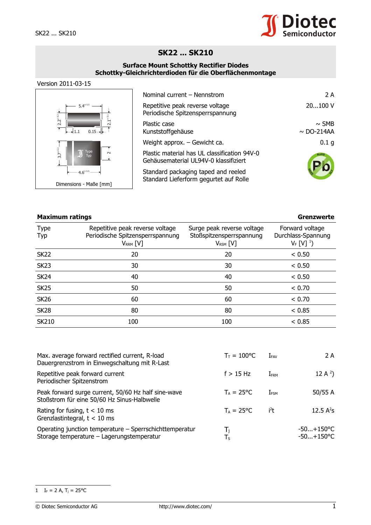

## **SK22 ... SK210**

## **Surface Mount Schottky Rectifier Diodes Schottky-Gleichrichterdioden für die Oberflächenmontage**

## Version 2011-03-15



| Nominal current - Nennstrom                                                           | 2 A                           |
|---------------------------------------------------------------------------------------|-------------------------------|
| Repetitive peak reverse voltage<br>Periodische Spitzensperrspannung                   | 20100 V                       |
| Plastic case<br>Kunststoffgehäuse                                                     | $\sim$ SMB<br>$\sim$ DO-214AA |
| Weight approx. - Gewicht ca.                                                          | 0.1 <sub>g</sub>              |
| Plastic material has UL classification 94V-0<br>Gehäusematerial UL94V-0 klassifiziert | RoHS                          |
| Standard packaging taped and reeled<br>Standard Lieferform gegurtet auf Rolle         |                               |

| <b>Maximum ratings</b> |                                                                                      |                                                                         | Grenzwerte                                                  |  |
|------------------------|--------------------------------------------------------------------------------------|-------------------------------------------------------------------------|-------------------------------------------------------------|--|
| <b>Type</b><br>Typ     | Repetitive peak reverse voltage<br>Periodische Spitzensperrspannung<br>$V_{RRM}$ [V] | Surge peak reverse voltage<br>Stoßspitzensperrspannung<br>$V_{RSM}$ [V] | Forward voltage<br>Durchlass-Spannung<br>$V_F$ [V] $^{1}$ ) |  |
| <b>SK22</b>            | 20                                                                                   | 20                                                                      | < 0.50                                                      |  |
| <b>SK23</b>            | 30                                                                                   | 30                                                                      | < 0.50                                                      |  |
| <b>SK24</b>            | 40                                                                                   | 40                                                                      | < 0.50                                                      |  |
| <b>SK25</b>            | 50                                                                                   | 50                                                                      | < 0.70                                                      |  |
| <b>SK26</b>            | 60                                                                                   | 60                                                                      | < 0.70                                                      |  |
| <b>SK28</b>            | 80                                                                                   | 80                                                                      | < 0.85                                                      |  |
| <b>SK210</b>           | 100                                                                                  | 100                                                                     | < 0.85                                                      |  |

| Max. average forward rectified current, R-load<br>Dauergrenzstrom in Einwegschaltung mit R-Last      | $T_{\rm T} = 100$ °C | $I_{\texttt{FAV}}$ | 2 A                          |
|------------------------------------------------------------------------------------------------------|----------------------|--------------------|------------------------------|
| Repetitive peak forward current<br>Periodischer Spitzenstrom                                         | $f > 15$ Hz          | I <sub>FRM</sub>   | 12 A $^{2}$ )                |
| Peak forward surge current, 50/60 Hz half sine-wave<br>Stoßstrom für eine 50/60 Hz Sinus-Halbwelle   | $T_A = 25$ °C        | I <sub>FSM</sub>   | 50/55 A                      |
| Rating for fusing, $t < 10$ ms<br>Grenzlastintegral, $t < 10$ ms                                     | $T_A = 25^{\circ}C$  | i <sup>2</sup> t   | 12.5 $A^2S$                  |
| Operating junction temperature – Sperrschichttemperatur<br>Storage temperature - Lagerungstemperatur | T,<br>Ts             |                    | $-50+150$ °C<br>$-50+150$ °C |

## <span id="page-0-0"></span>1  $I_F = 2 A$ ,  $T_j = 25$ °C